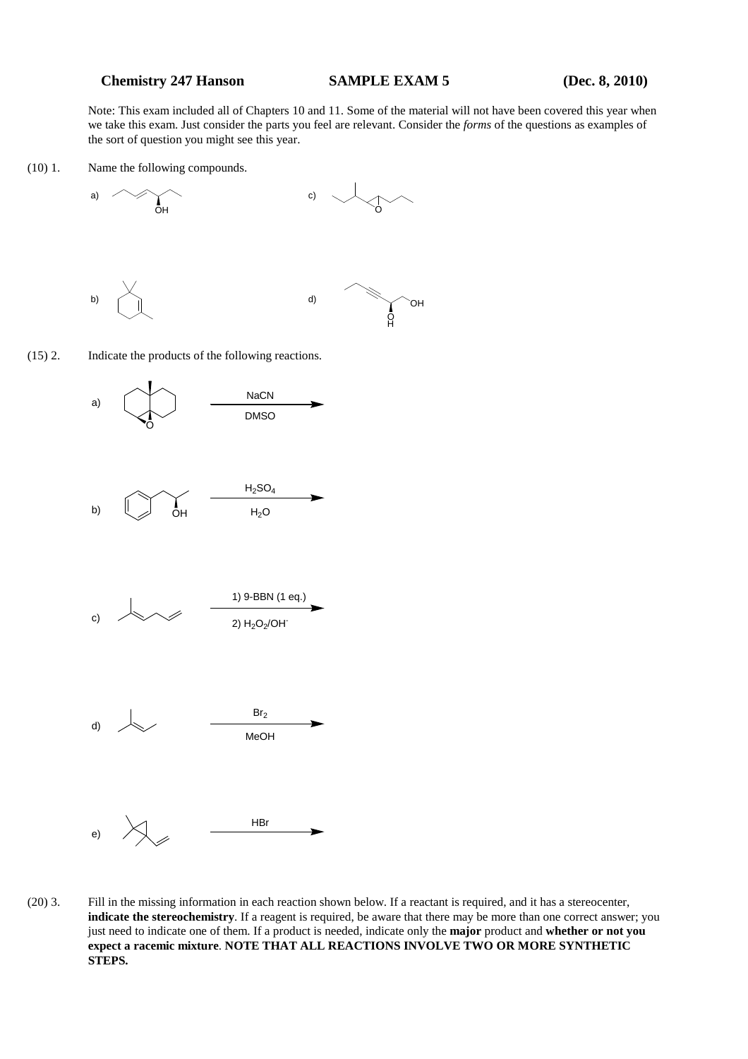## **Chemistry 247 Hanson SAMPLE EXAM 5** (Dec. 8, 2010)

Note: This exam included all of Chapters 10 and 11. Some of the material will not have been covered this year when we take this exam. Just consider the parts you feel are relevant. Consider the *forms* of the questions as examples of the sort of question you might see this year.

(10) 1. Name the following compounds.







(20) 3. Fill in the missing information in each reaction shown below. If a reactant is required, and it has a stereocenter, **indicate the stereochemistry**. If a reagent is required, be aware that there may be more than one correct answer; you just need to indicate one of them. If a product is needed, indicate only the **major** product and **whether or not you expect a racemic mixture**. **NOTE THAT ALL REACTIONS INVOLVE TWO OR MORE SYNTHETIC STEPS.**